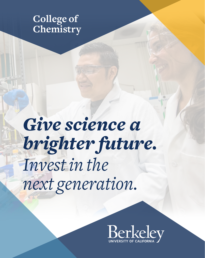### **College of Chemistry**

*Give science a brighter future. Invest in the next generation.*

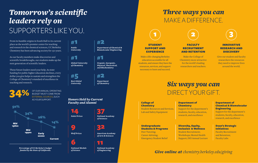# *Tomorrow's scientific leaders rely on*  SUPPORTERS LIKE YOU.

From its humble origins in South Hall to its current place as the world's premier center for teaching and research in the chemical sciences, UC Berkeley Chemistry has been advancing society for 150 years.

As our faculty members make discoveries and scientific breakthroughs, our students make up the next generation of scientific leaders.

These future leaders need your help. As state funding for public higher education declines, every dollar you give helps to sustain and strengthen the College of Chemistry's standard of excellence in teaching and research.

**34%** OF OUR ANNUAL OPERATING<br>BUDGET MUST COME FROM BUDGET MUST COME FROM EXTERNAL SOURCES, SUCH AS YOUR SUPPORT.



*Percentage of UC Berkeley's budget funded by the State of California.*



#1

*Global University of Chemistry*

*Best Global University* #5 #2

9

*Nobel Prizes*

*Wolf Prizes*

*National Medals of Science*

6

*Department of Chemistry*

*Organic, Inorganic, Physical, Theoretical, and Biochemistry*

*Department of Chemical & Biomolecular Engineering*

#1

#2

*Honors Held by Current Faculty and Alumni*



32

*American Academy of Arts & Sciences*

11

*National Academy of Engineering*

## *Three ways you can*  MAKE A DIFFERENCE.



#### **STUDENT** SUPPORT AND EXPERIENCE

Make a life-changing Berkeley education accessible for all students, and ensure they have the resources, services, and support necessary to learn and succeed.



#### **FACULTY** RECRUITMENT AND RETENTION

Make the College of Chemistry more attractive for the world's leading researchers and teachers.



#### INNOVATIVE RESEARCH AND **DISCOVERY**

Give our student and faculty researchers the resources they need to improve lives around the world.

# *Six ways you can*  DIRECT YOUR GIFT.

#### College of **Chemistry** Student Resources and Services; Lab and Safety Equipment

Undergraduate Students & Programs

Emergency Student Relief

Peer Tutoring; Career Advising;

#### Department of **Chemistry**

Support for the department's students, faculty, education, research, and excellence

#### Diversity, Equity, Inclusion & Wellness Student Recruitment; Workshops; Mental Health

Support; DEI Annual Lecture

#### Department of Chemical & Biomolecular Engineering

Support for the department's students, faculty, education, research, and excellence

#### Dean's Strategic Initiatives

Faculty Recruitment and Retention; Faculty Labs

*Give online at chemistry.berkeley.edu/giving*